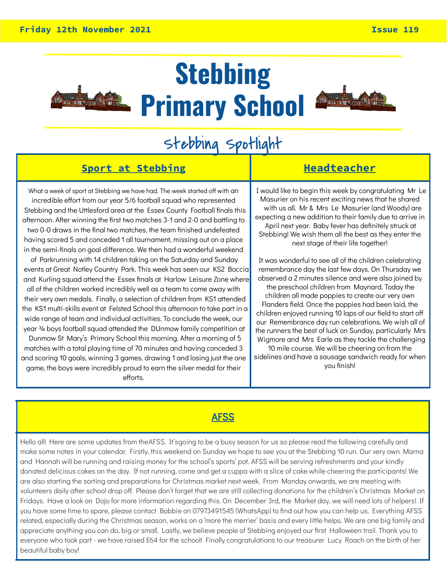

### **Stebbing Primary School**



### Stebbing Spotlight

#### **Sport at Stebbing The Headteacher**

What a week of sport at Stebbing we have had. The week started off with an incredible effort from our year 5/6 football squad who represented Stebbing and the Uttlesford area at the Essex County Football finals this afternoon. After winning the first two matches 3-1 and 2-0 and battling to two 0-0 draws in the final two matches, the team finished undefeated having scored 5 and conceded 1 all tournament, missing out on a place in the semi-finals on goal difference. We then had a wonderful weekend

of Parkrunning with 14 children taking on the Saturday and Sunday events at Great Notley Country Park. This week has seen our KS2 Boccia and Kurling squad attend the Essex finals at Harlow Leisure Zone where all of the children worked incredibly well as a team to come away with their very own medals. Finally, a selection of children from KS1 attended the KS1 multi-skills event at Felsted School this afternoon to take part in a wide range of team and individual activities. To conclude the week, our year ¾ boys football squad attended the DUnmow family competition at Dunmow St Mary's Primary School this morning. After a morning of 5 matches with a total playing time of 70 minutes and having conceded 3 and scoring 10 goals, winning 3 games, drawing 1 and losing just the one

game, the boys were incredibly proud to earn the silver medal for their efforts.

I would like to begin this week by congratulating Mr Le Masurier on his recent exciting news that he shared with us all. Mr & Mrs Le Masurier (and Woody) are expecting a new addition to their family due to arrive in April next year. Baby fever has definitely struck at Stebbing! We wish them all the best as they enter the next stage of their life together!

It was wonderful to see all of the children celebrating remembrance day the last few days. On Thursday we observed a 2 minutes silence and were also joined by the preschool children from Maynard. Today the children all made poppies to create our very own Flanders field. Once the poppies had been laid, the children enjoyed running 10 laps of our field to start o our Remembrance day run celebrations. We wish all of the runners the best of luck on Sunday, particularly Mrs Wigmore and Mrs Earle as they tackle the challenging

10 mile course. We will be cheering on from the sidelines and have a sausage sandwich ready for when you finish!

#### AFSS

Hello all! Here are some updates from theAFSS. It'sgoing to be a busy season for us so please read the following carefully and make some notes in your calendar. Firstly, this weekend on Sunday we hope to see you at the Stebbing 10 run. Our very own Marna and Hannah will be running and raising money for the school's sports' pot. AFSS will be serving refreshments and your kindly donated delicious cakes on the day. If not running, come and get a cuppa with a slice of cake while cheering the participants! We are also starting the sorting and preparations for Christmas market next week. From Monday onwards, we are meeting with volunteers daily after school drop off. Please don't forget that we are still collecting donations for the children's Christmas Market on Fridays. Have a look on Dojo for more information regarding this. On December 3rd, the Market day, we will need lots of helpers! If you have some time to spare, please contact Bobbie on 07973491545 (WhatsApp) to find out how you can help us. Everything AFSS related, especially during the Christmas season, works on a 'more the merrier' basis and every little helps. We are one big family and appreciate anything you can do, big or small. Lastly, we believe people of Stebbing enjoyed our first Halloween trail. Thank you to everyone who took part - we have raised £64 for the school! Finally congratulations to our treasurer Lucy Roach on the birth of her beautiful baby boy!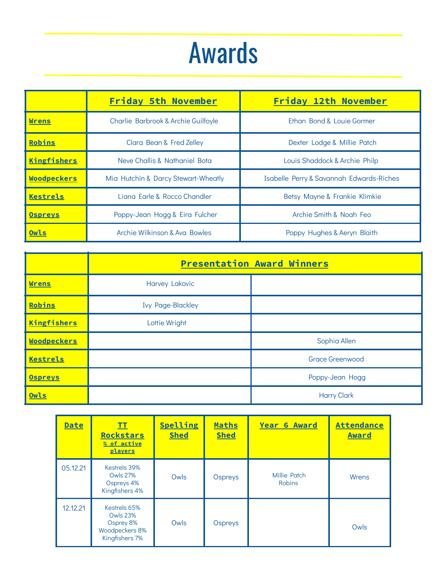### Awards

|                    | <b>Friday 5th November</b>                                    | Friday 12th November                     |
|--------------------|---------------------------------------------------------------|------------------------------------------|
| <b>Wrens</b>       | Charlie Barbrook & Archie Guilfoyle                           | Ethan Bond & Louie Gormer                |
| Robins             | Clara Bean & Fred Zelley                                      | Dexter Lodge & Millie Patch              |
| Kingfishers        | Neve Challis & Nathaniel Bota                                 | Louis Shaddock & Archie Philp            |
| <b>Woodpeckers</b> | Mia Hutchin & Darcy Stewart-Wheatly                           | Isabelle Perry & Savannah Edwards-Riches |
| Kestrels           | Liana Earle & Rocco Chandler<br>Betsy Mayne & Frankie Klimkie |                                          |
| <b>Ospreys</b>     | Poppy-Jean Hogg & Eira Fulcher                                | Archie Smith & Noah Feo                  |
| Owls               | Archie Wilkinson & Ava Bowles                                 | Poppy Hughes & Aeryn Blaith              |

|                    | <b>Presentation Award Winners</b> |                        |
|--------------------|-----------------------------------|------------------------|
| <b>Wrens</b>       | <b>Harvey Lakovic</b>             |                        |
| Robins             | <b>Ivy Page-Blackley</b>          |                        |
| <b>Kingfishers</b> | Lottie Wright                     |                        |
| Woodpeckers        |                                   | Sophia Allen           |
| <b>Kestrels</b>    |                                   | <b>Grace Greenwood</b> |
| <b>Ospreys</b>     |                                   | Poppy-Jean Hogg        |
| Owls               |                                   | <b>Harry Clark</b>     |

| <b>Date</b> | II<br><b>Rockstars</b><br>% of active<br>players                                 | Spelling<br><b>Shed</b> | Maths<br><b>Shed</b> | <b>Year 6 Award</b>           | <b>Attendance</b><br><b>Award</b> |
|-------------|----------------------------------------------------------------------------------|-------------------------|----------------------|-------------------------------|-----------------------------------|
| 05.12.21    | Kestrels 39%<br><b>Owls 27%</b><br>Ospreys 4%<br>Kingfishers 4%                  | Owls                    | Ospreys              | Millie Patch<br><b>Robins</b> | Wrens                             |
| 12.12.21    | Kestrels 65%<br><b>Owls 23%</b><br>Osprey 8%<br>Woodpeckers 8%<br>Kingfishers 7% | Owls                    | Ospreys              |                               | Owls                              |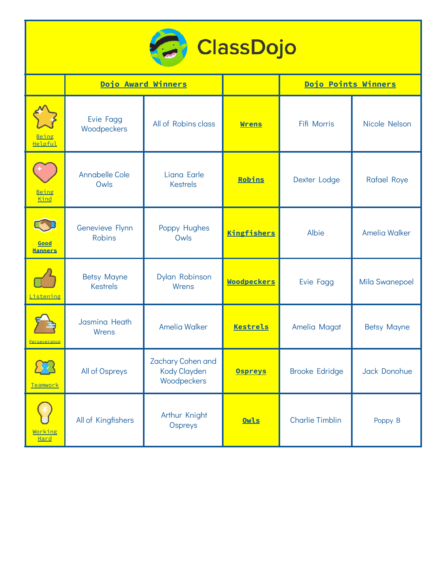

|                        | Dojo Award Winners                    |                                                         |                    | Dojo Points Winners    |                       |
|------------------------|---------------------------------------|---------------------------------------------------------|--------------------|------------------------|-----------------------|
| Being<br>Helpful       | Evie Fagg<br>Woodpeckers              | All of Robins class                                     | <b>Wrens</b>       | Fifi Morris            | Nicole Nelson         |
| Being<br>Kind          | <b>Annabelle Cole</b><br>Owls         | Liana Earle<br><b>Kestrels</b>                          | Robins             | Dexter Lodge           | <b>Rafael Roye</b>    |
| Good<br><b>Manners</b> | Genevieve Flynn<br><b>Robins</b>      | Poppy Hughes<br>Owls                                    | <b>Kingfishers</b> | Albie                  | <b>Amelia Walker</b>  |
| Listening              | <b>Betsy Mayne</b><br><b>Kestrels</b> | Dylan Robinson<br>Wrens                                 | <b>Woodpeckers</b> | Evie Fagg              | <b>Mila Swanepoel</b> |
| Perseverance           | Jasmina Heath<br>Wrens                | <b>Amelia Walker</b>                                    | <b>Kestrels</b>    | Amelia Magat           | <b>Betsy Mayne</b>    |
| Teamwork               | All of Ospreys                        | Zachary Cohen and<br><b>Kody Clayden</b><br>Woodpeckers | <b>Ospreys</b>     | <b>Brooke Edridge</b>  | Jack Donohue          |
| Working<br>Hard        | All of Kingfishers                    | Arthur Knight<br>Ospreys                                | Owls               | <b>Charlie Timblin</b> | Poppy B               |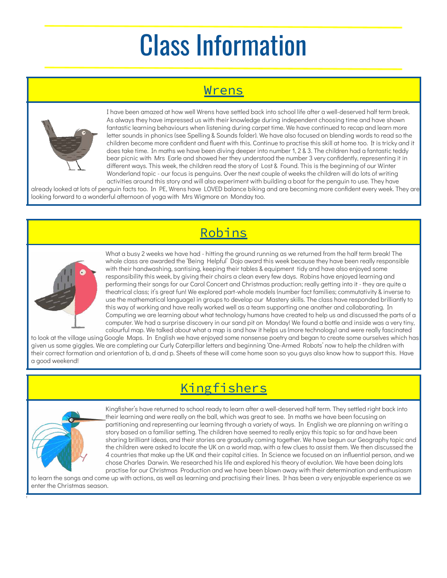## Class Information

#### Wrens



I have been amazed at how well Wrens have settled back into school life after a well-deserved half term break. As always they have impressed us with their knowledge during independent choosing time and have shown fantastic learning behaviours when listening during carpet time. We have continued to recap and learn more letter sounds in phonics (see Spelling & Sounds folder). We have also focused on blending words to read so the children become more confident and fluent with this. Continue to practise this skill at home too. It is tricky and it does take time. In maths we have been diving deeper into number 1, 2 & 3. The children had a fantastic teddy bear picnic with Mrs Earle and showed her they understood the number 3 very confidently, representing it in different ways. This week, the children read the story of Lost & Found. This is the beginning of our Winter Wonderland topic - our focus is penguins. Over the next couple of weeks the children will do lots of writing activities around this story and will also experiment with building a boat for the penguin to use. They have

already looked at lots of penguin facts too. In PE, Wrens have LOVED balance biking and are becoming more confident every week. They are looking forward to a wonderful afternoon of yoga with Mrs Wigmore on Monday too.

#### Robins



What a busy 2 weeks we have had - hitting the ground running as we returned from the half term break! The whole class are awarded the 'Being Helpful' Dojo award this week because they have been really responsible with their handwashing, santising, keeping their tables & equipment tidy and have also enjoyed some responsibility this week, by giving their chairs a clean every few days. Robins have enjoyed learning and performing their songs for our Carol Concert and Christmas production; really getting into it - they are quite a theatrical class; it's great fun! We explored part-whole models (number fact families; commutativity & inverse to use the mathematical language) in groups to develop our Mastery skills. The class have responded brilliantly to this way of working and have really worked well as a team supporting one another and collaborating. In Computing we are learning about what technology humans have created to help us and discussed the parts of a computer. We had a surprise discovery in our sand pit on Monday! We found a bottle and inside was a very tiny, colourful map. We talked about what a map is and how it helps us (more technology) and were really fascinated

to look at the village using Google Maps. In English we have enjoyed some nonsense poetry and began to create some ourselves which has given us some giggles. We are completing our Curly Caterpillar letters and beginning 'One-Armed Robots' now to help the children with their correct formation and orientation of b, d and p. Sheets of these will come home soon so you guys also know how to support this. Have a good weekend!

### Kingfishers



t

Kingfisher's have returned to school ready to learn after a well-deserved half term. They settled right back into their learning and were really on the ball, which was great to see. In maths we have been focusing on partitioning and representing our learning through a variety of ways. In English we are planning on writing a story based on a familiar setting. The children have seemed to really enjoy this topic so far and have been sharing brilliant ideas, and their stories are gradually coming together. We have begun our Geography topic and the children were asked to locate the UK on a world map, with a few clues to assist them. We then discussed the 4 countries that make up the UK and their capital cities. In Science we focused on an influential person, and we chose Charles Darwin. We researched his life and explored his theory of evolution. We have been doing lots practise for our Christmas Production and we have been blown away with their determination and enthusiasm

to learn the songs and come up with actions, as well as learning and practising their lines. It has been a very enjoyable experience as we enter the Christmas season.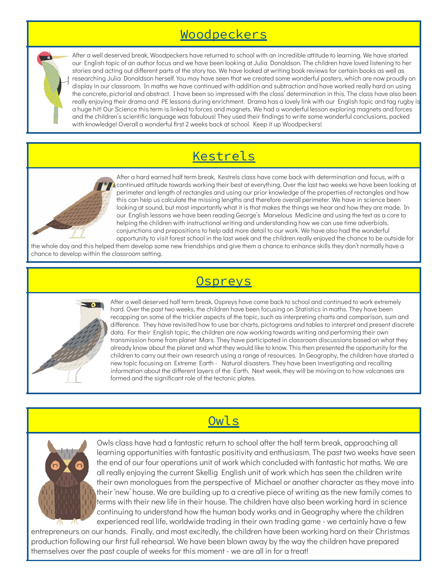#### Woodpeckers

After a well deserved break, Woodpeckers have returned to school with an incredible attitude to learning. We have started our English topic of an author focus and we have been looking at Julia Donaldson. The children have loved listening to her stories and acting out different parts of the story too. We have looked at writing book reviews for certain books as well as researching Julia Donaldson herself. You may have seen that we created some wonderful posters, which are now proudly on display in our classroom. In maths we have continued with addition and subtraction and have worked really hard on using the concrete, pictorial and abstract. I have been so impressed with the class' determination in this. The class have also been really enjoying their drama and PE lessons during enrichment. Drama has a lovely link with our English topic and tag rugby i a huge hit! Our Science this term is linked to forces and magnets. We had a wonderful lesson exploring magnets and forces and the children's scientific language was fabulous! They used their findings to write some wonderful conclusions, packed with knowledge! Overall a wonderful first 2 weeks back at school. Keep it up Woodpeckers!

#### Kestrels



After a hard earned half term break, Kestrels class have come back with determination and focus, with a continued attitude towards working their best at everything. Over the last two weeks we have been looking at perimeter and length of rectangles and using our prior knowledge of the properties of rectangles and how this can help us calculate the missing lengths and therefore overall perimeter. We have in science been looking at sound, but most importantly what it is that makes the things we hear and how they are made. In our English lessons we have been reading George's Marvelous Medicine and using the text as a core to helping the children with instructional writing and understanding how we can use time adverbials, conjunctions and prepositions to help add more detail to our work. We have also had the wonderful opportunity to visit forest school in the last week and the children really enjoyed the chance to be outside for

the whole day and this helped them develop some new friendships and give them a chance to enhance skills they don't normally have a chance to develop within the classroom setting.

#### **Ospreys**



After a well deserved half term break, Ospreys have come back to school and continued to work extremely hard. Over the past two weeks, the children have been focusing on Statistics in maths. They have been recapping on some of the trickier aspects of the topic, such as interpreting charts and comparison, sum and difference. They have revisited how to use bar charts, pictograms and tables to interpret and present discrete data. For their English topic, the children are now working towards writing and performing their own transmission home from planet Mars. They have participated in classroom discussions based on what they already know about the planet and what they would like to know. This then presented the opportunity for the children to carry out their own research using a range of resources. In Geography, the children have started a new topic focusing on Extreme Earth - Natural disasters. They have been investigating and recalling information about the different layers of the Earth. Next week, they will be moving on to how volcanoes are formed and the significant role of the tectonic plates.



Owls

Owls class have had a fantastic return to school after the half term break, approaching all learning opportunities with fantastic positivity and enthusiasm. The past two weeks have seen the end of our four operations unit of work which concluded with fantastic hot maths. We are all really enjoying the current Skellig English unit of work which has seen the children write their own monologues from the perspective of Michael or another character as they move into their 'new' house. We are building up to a creative piece of writing as the new family comes to terms with their new life in their house. The children have also been working hard in science continuing to understand how the human body works and in Geography where the children experienced real life, worldwide trading in their own trading game - we certainly have a few

entrepreneurs on our hands. Finally, and most excitedly, the children have been working hard on their Christmas production following our first full rehearsal. We have been blown away by the way the children have prepared themselves over the past couple of weeks for this moment - we are all in for a treat!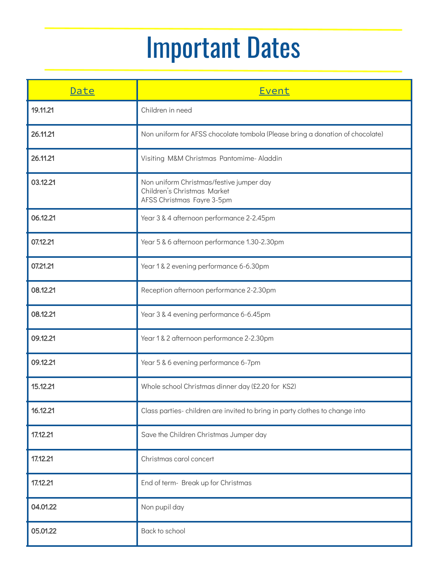# Important Dates

| Date     | Event                                                                                                 |
|----------|-------------------------------------------------------------------------------------------------------|
| 19.11.21 | Children in need                                                                                      |
| 26.11.21 | Non uniform for AFSS chocolate tombola (Please bring a donation of chocolate)                         |
| 26.11.21 | Visiting M&M Christmas Pantomime- Aladdin                                                             |
| 03.12.21 | Non uniform Christmas/festive jumper day<br>Children's Christmas Market<br>AFSS Christmas Fayre 3-5pm |
| 06.12.21 | Year 3 & 4 afternoon performance 2-2.45pm                                                             |
| 07.12.21 | Year 5 & 6 afternoon performance 1.30-2.30pm                                                          |
| 07.21.21 | Year 1 & 2 evening performance 6-6.30pm                                                               |
| 08.12.21 | Reception afternoon performance 2-2.30pm                                                              |
| 08.12.21 | Year 3 & 4 evening performance 6-6.45pm                                                               |
| 09.12.21 | Year 1 & 2 afternoon performance 2-2.30pm                                                             |
| 09.12.21 | Year 5 & 6 evening performance 6-7pm                                                                  |
| 15.12.21 | Whole school Christmas dinner day (£2.20 for KS2)                                                     |
| 16.12.21 | Class parties-children are invited to bring in party clothes to change into                           |
| 17.12.21 | Save the Children Christmas Jumper day                                                                |
| 17.12.21 | Christmas carol concert                                                                               |
| 17.12.21 | End of term- Break up for Christmas                                                                   |
| 04.01.22 | Non pupil day                                                                                         |
| 05.01.22 | Back to school                                                                                        |